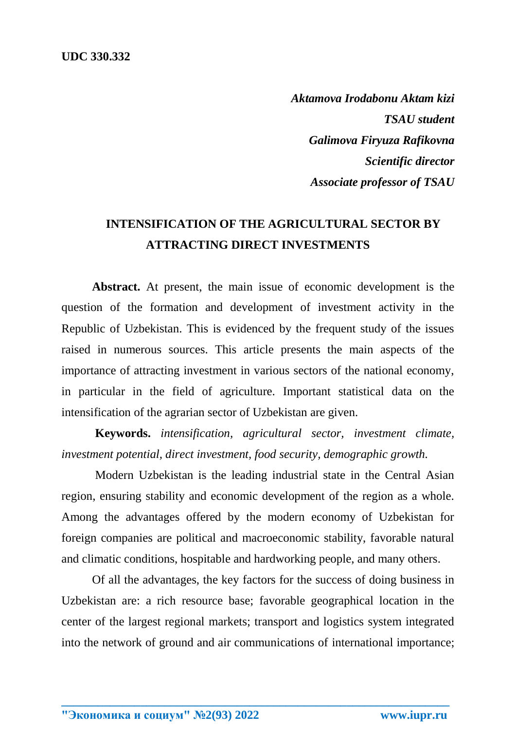*Aktamova Irodabonu Aktam kizi TSAU student Galimova Firyuza Rafikovna Scientific director Associate professor of TSAU*

## **INTENSIFICATION OF THE AGRICULTURAL SECTOR BY ATTRACTING DIRECT INVESTMENTS**

**Abstract.** At present, the main issue of economic development is the question of the formation and development of investment activity in the Republic of Uzbekistan. This is evidenced by the frequent study of the issues raised in numerous sources. This article presents the main aspects of the importance of attracting investment in various sectors of the national economy, in particular in the field of agriculture. Important statistical data on the intensification of the agrarian sector of Uzbekistan are given.

**Keywords.** *intensification, agricultural sector, investment climate, investment potential, direct investment, food security, demographic growth.*

Modern Uzbekistan is the leading industrial state in the Central Asian region, ensuring stability and economic development of the region as a whole. Among the advantages offered by the modern economy of Uzbekistan for foreign companies are political and macroeconomic stability, favorable natural and climatic conditions, hospitable and hardworking people, and many others.

Of all the advantages, the key factors for the success of doing business in Uzbekistan are: a rich resource base; favorable geographical location in the center of the largest regional markets; transport and logistics system integrated into the network of ground and air communications of international importance;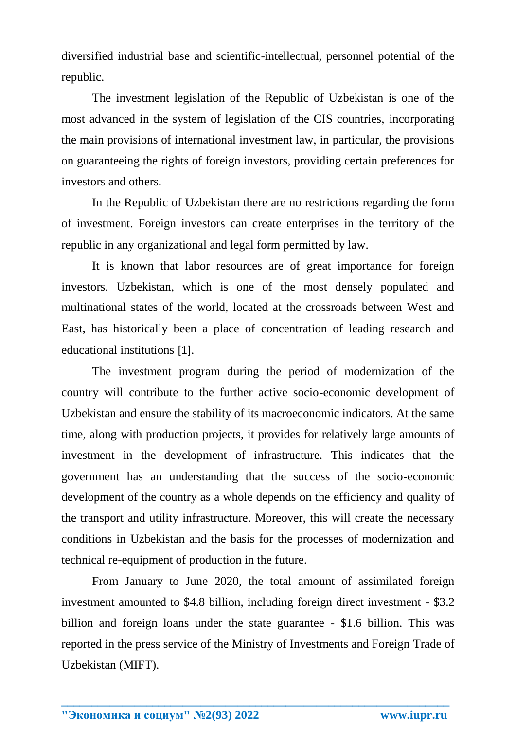diversified industrial base and scientific-intellectual, personnel potential of the republic.

The investment legislation of the Republic of Uzbekistan is one of the most advanced in the system of legislation of the CIS countries, incorporating the main provisions of international investment law, in particular, the provisions on guaranteeing the rights of foreign investors, providing certain preferences for investors and others.

In the Republic of Uzbekistan there are no restrictions regarding the form of investment. Foreign investors can create enterprises in the territory of the republic in any organizational and legal form permitted by law.

It is known that labor resources are of great importance for foreign investors. Uzbekistan, which is one of the most densely populated and multinational states of the world, located at the crossroads between West and East, has historically been a place of concentration of leading research and educational institutions [1].

The investment program during the period of modernization of the country will contribute to the further active socio-economic development of Uzbekistan and ensure the stability of its macroeconomic indicators. At the same time, along with production projects, it provides for relatively large amounts of investment in the development of infrastructure. This indicates that the government has an understanding that the success of the socio-economic development of the country as a whole depends on the efficiency and quality of the transport and utility infrastructure. Moreover, this will create the necessary conditions in Uzbekistan and the basis for the processes of modernization and technical re-equipment of production in the future.

From January to June 2020, the total amount of assimilated foreign investment amounted to \$4.8 billion, including foreign direct investment - \$3.2 billion and foreign loans under the state guarantee - \$1.6 billion. This was reported in the press service of the Ministry of Investments and Foreign Trade of Uzbekistan (MIFT).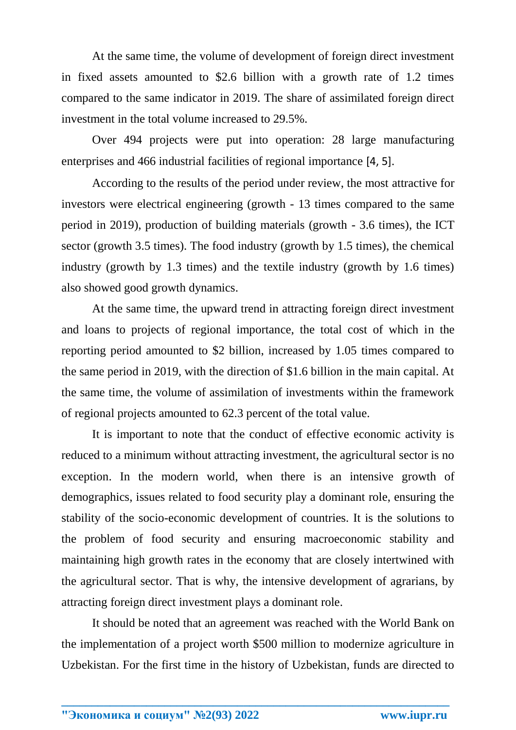At the same time, the volume of development of foreign direct investment in fixed assets amounted to \$2.6 billion with a growth rate of 1.2 times compared to the same indicator in 2019. The share of assimilated foreign direct investment in the total volume increased to 29.5%.

Over 494 projects were put into operation: 28 large manufacturing enterprises and 466 industrial facilities of regional importance [4, 5].

According to the results of the period under review, the most attractive for investors were electrical engineering (growth - 13 times compared to the same period in 2019), production of building materials (growth - 3.6 times), the ICT sector (growth 3.5 times). The food industry (growth by 1.5 times), the chemical industry (growth by 1.3 times) and the textile industry (growth by 1.6 times) also showed good growth dynamics.

At the same time, the upward trend in attracting foreign direct investment and loans to projects of regional importance, the total cost of which in the reporting period amounted to \$2 billion, increased by 1.05 times compared to the same period in 2019, with the direction of \$1.6 billion in the main capital. At the same time, the volume of assimilation of investments within the framework of regional projects amounted to 62.3 percent of the total value.

It is important to note that the conduct of effective economic activity is reduced to a minimum without attracting investment, the agricultural sector is no exception. In the modern world, when there is an intensive growth of demographics, issues related to food security play a dominant role, ensuring the stability of the socio-economic development of countries. It is the solutions to the problem of food security and ensuring macroeconomic stability and maintaining high growth rates in the economy that are closely intertwined with the agricultural sector. That is why, the intensive development of agrarians, by attracting foreign direct investment plays a dominant role.

It should be noted that an agreement was reached with the World Bank on the implementation of a project worth \$500 million to modernize agriculture in Uzbekistan. For the first time in the history of Uzbekistan, funds are directed to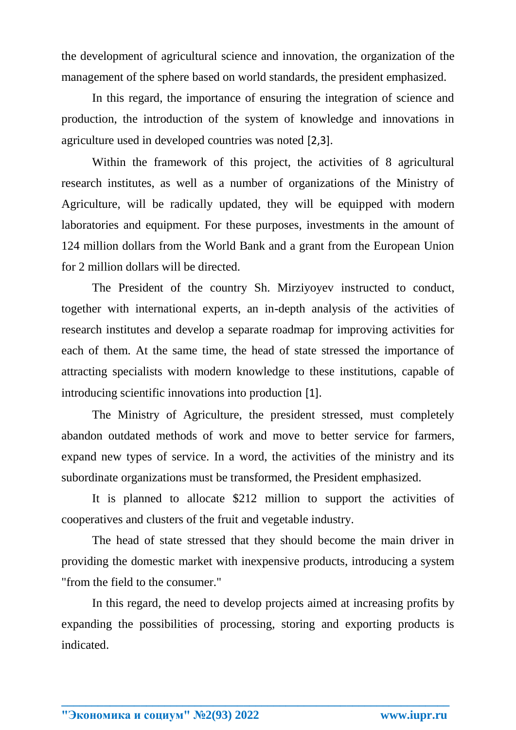the development of agricultural science and innovation, the organization of the management of the sphere based on world standards, the president emphasized.

In this regard, the importance of ensuring the integration of science and production, the introduction of the system of knowledge and innovations in agriculture used in developed countries was noted [2,3].

Within the framework of this project, the activities of 8 agricultural research institutes, as well as a number of organizations of the Ministry of Agriculture, will be radically updated, they will be equipped with modern laboratories and equipment. For these purposes, investments in the amount of 124 million dollars from the World Bank and a grant from the European Union for 2 million dollars will be directed.

The President of the country Sh. Mirziyoyev instructed to conduct, together with international experts, an in-depth analysis of the activities of research institutes and develop a separate roadmap for improving activities for each of them. At the same time, the head of state stressed the importance of attracting specialists with modern knowledge to these institutions, capable of introducing scientific innovations into production [1].

The Ministry of Agriculture, the president stressed, must completely abandon outdated methods of work and move to better service for farmers, expand new types of service. In a word, the activities of the ministry and its subordinate organizations must be transformed, the President emphasized.

It is planned to allocate \$212 million to support the activities of cooperatives and clusters of the fruit and vegetable industry.

The head of state stressed that they should become the main driver in providing the domestic market with inexpensive products, introducing a system "from the field to the consumer."

In this regard, the need to develop projects aimed at increasing profits by expanding the possibilities of processing, storing and exporting products is indicated.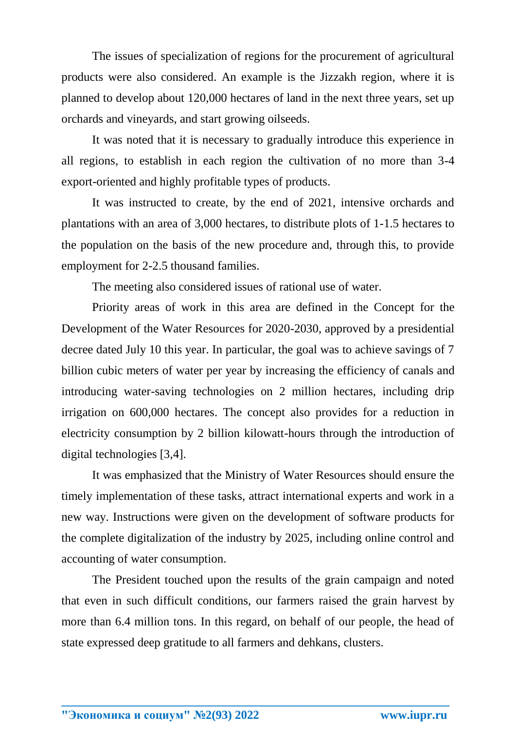The issues of specialization of regions for the procurement of agricultural products were also considered. An example is the Jizzakh region, where it is planned to develop about 120,000 hectares of land in the next three years, set up orchards and vineyards, and start growing oilseeds.

It was noted that it is necessary to gradually introduce this experience in all regions, to establish in each region the cultivation of no more than 3-4 export-oriented and highly profitable types of products.

It was instructed to create, by the end of 2021, intensive orchards and plantations with an area of 3,000 hectares, to distribute plots of 1-1.5 hectares to the population on the basis of the new procedure and, through this, to provide employment for 2-2.5 thousand families.

The meeting also considered issues of rational use of water.

Priority areas of work in this area are defined in the Concept for the Development of the Water Resources for 2020-2030, approved by a presidential decree dated July 10 this year. In particular, the goal was to achieve savings of 7 billion cubic meters of water per year by increasing the efficiency of canals and introducing water-saving technologies on 2 million hectares, including drip irrigation on 600,000 hectares. The concept also provides for a reduction in electricity consumption by 2 billion kilowatt-hours through the introduction of digital technologies [3,4].

It was emphasized that the Ministry of Water Resources should ensure the timely implementation of these tasks, attract international experts and work in a new way. Instructions were given on the development of software products for the complete digitalization of the industry by 2025, including online control and accounting of water consumption.

The President touched upon the results of the grain campaign and noted that even in such difficult conditions, our farmers raised the grain harvest by more than 6.4 million tons. In this regard, on behalf of our people, the head of state expressed deep gratitude to all farmers and dehkans, clusters.